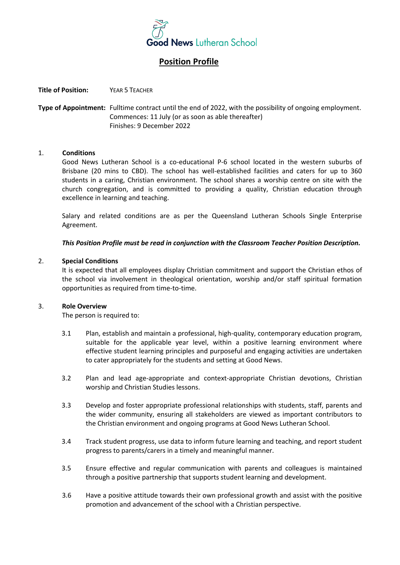

# **Position Profile**

**Title of Position:** YEAR 5 TEACHER

**Type of Appointment:** Fulltime contract until the end of 2022, with the possibility of ongoing employment. Commences: 11 July (or as soon as able thereafter) Finishes: 9 December 2022

## 1. **Conditions**

Good News Lutheran School is a co-educational P-6 school located in the western suburbs of Brisbane (20 mins to CBD). The school has well-established facilities and caters for up to 360 students in a caring, Christian environment. The school shares a worship centre on site with the church congregation, and is committed to providing a quality, Christian education through excellence in learning and teaching.

Salary and related conditions are as per the Queensland Lutheran Schools Single Enterprise Agreement.

## *This Position Profile must be read in conjunction with the Classroom Teacher Position Description.*

## 2. **Special Conditions**

It is expected that all employees display Christian commitment and support the Christian ethos of the school via involvement in theological orientation, worship and/or staff spiritual formation opportunities as required from time-to-time.

#### 3. **Role Overview**

The person is required to:

- 3.1 Plan, establish and maintain a professional, high-quality, contemporary education program, suitable for the applicable year level, within a positive learning environment where effective student learning principles and purposeful and engaging activities are undertaken to cater appropriately for the students and setting at Good News.
- 3.2 Plan and lead age-appropriate and context-appropriate Christian devotions, Christian worship and Christian Studies lessons.
- 3.3 Develop and foster appropriate professional relationships with students, staff, parents and the wider community, ensuring all stakeholders are viewed as important contributors to the Christian environment and ongoing programs at Good News Lutheran School.
- 3.4 Track student progress, use data to inform future learning and teaching, and report student progress to parents/carers in a timely and meaningful manner.
- 3.5 Ensure effective and regular communication with parents and colleagues is maintained through a positive partnership that supports student learning and development.
- 3.6 Have a positive attitude towards their own professional growth and assist with the positive promotion and advancement of the school with a Christian perspective.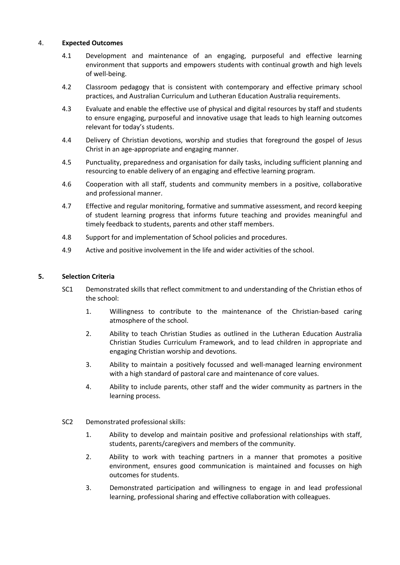## 4. **Expected Outcomes**

- 4.1 Development and maintenance of an engaging, purposeful and effective learning environment that supports and empowers students with continual growth and high levels of well-being.
- 4.2 Classroom pedagogy that is consistent with contemporary and effective primary school practices, and Australian Curriculum and Lutheran Education Australia requirements.
- 4.3 Evaluate and enable the effective use of physical and digital resources by staff and students to ensure engaging, purposeful and innovative usage that leads to high learning outcomes relevant for today's students.
- 4.4 Delivery of Christian devotions, worship and studies that foreground the gospel of Jesus Christ in an age-appropriate and engaging manner.
- 4.5 Punctuality, preparedness and organisation for daily tasks, including sufficient planning and resourcing to enable delivery of an engaging and effective learning program.
- 4.6 Cooperation with all staff, students and community members in a positive, collaborative and professional manner.
- 4.7 Effective and regular monitoring, formative and summative assessment, and record keeping of student learning progress that informs future teaching and provides meaningful and timely feedback to students, parents and other staff members.
- 4.8 Support for and implementation of School policies and procedures.
- 4.9 Active and positive involvement in the life and wider activities of the school.

## **5. Selection Criteria**

- SC1 Demonstrated skills that reflect commitment to and understanding of the Christian ethos of the school:
	- 1. Willingness to contribute to the maintenance of the Christian-based caring atmosphere of the school.
	- 2. Ability to teach Christian Studies as outlined in the Lutheran Education Australia Christian Studies Curriculum Framework, and to lead children in appropriate and engaging Christian worship and devotions.
	- 3. Ability to maintain a positively focussed and well-managed learning environment with a high standard of pastoral care and maintenance of core values.
	- 4. Ability to include parents, other staff and the wider community as partners in the learning process.
- SC2 Demonstrated professional skills:
	- 1. Ability to develop and maintain positive and professional relationships with staff, students, parents/caregivers and members of the community.
	- 2. Ability to work with teaching partners in a manner that promotes a positive environment, ensures good communication is maintained and focusses on high outcomes for students.
	- 3. Demonstrated participation and willingness to engage in and lead professional learning, professional sharing and effective collaboration with colleagues.